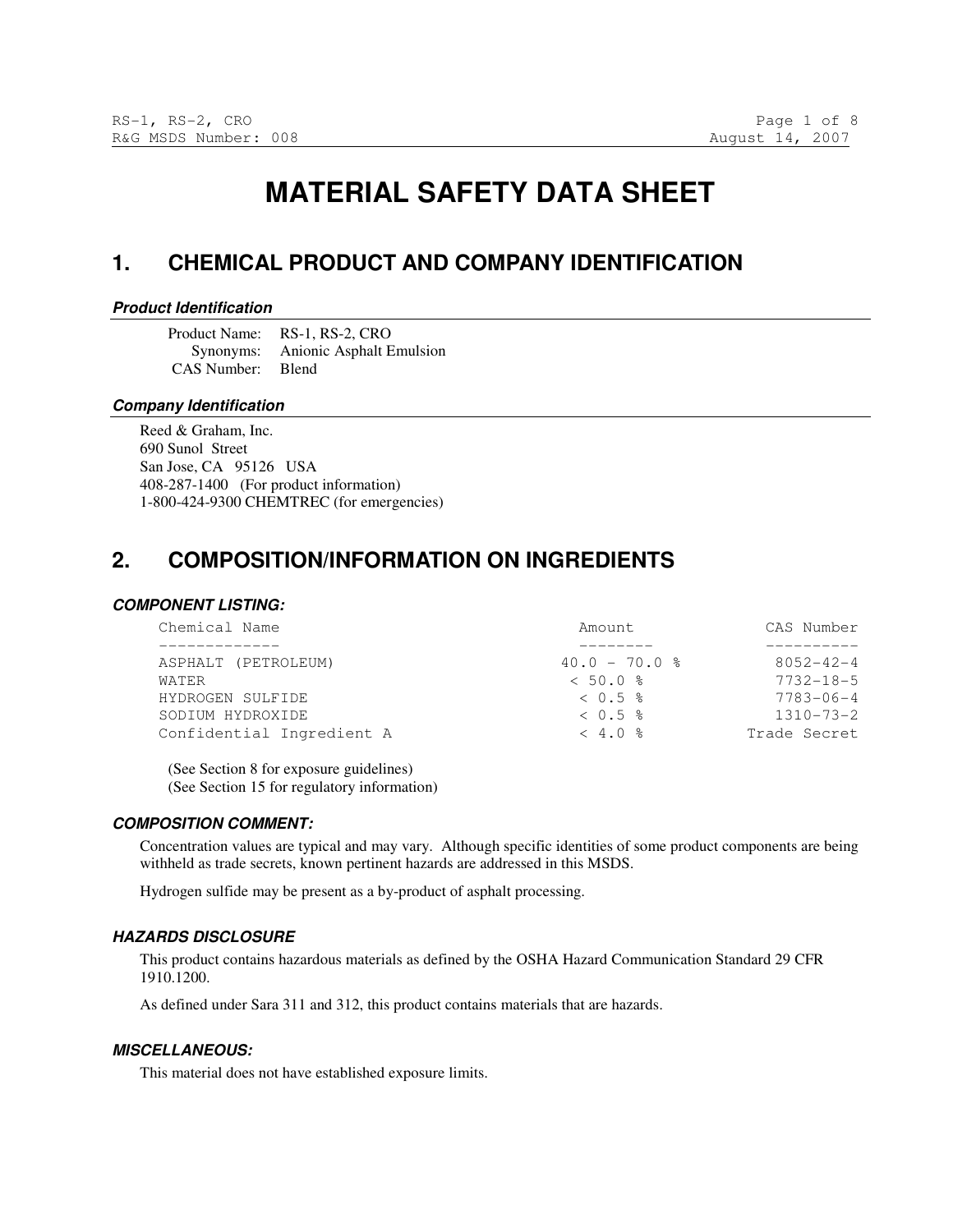# **MATERIAL SAFETY DATA SHEET**

## **1. CHEMICAL PRODUCT AND COMPANY IDENTIFICATION**

#### **Product Identification**

Product Name: RS-1, RS-2, CRO Synonyms: Anionic Asphalt Emulsion CAS Number: Blend

#### **Company Identification**

Reed & Graham, Inc. 690 Sunol Street San Jose, CA 95126 USA 408-287-1400 (For product information) 1-800-424-9300 CHEMTREC (for emergencies)

## **2. COMPOSITION/INFORMATION ON INGREDIENTS**

#### **COMPONENT LISTING:**

| $8052 - 42 - 4$ |
|-----------------|
| $7732 - 18 - 5$ |
| $7783 - 06 - 4$ |
| $1310 - 73 - 2$ |
| Trade Secret    |
|                 |

(See Section 8 for exposure guidelines) (See Section 15 for regulatory information)

#### **COMPOSITION COMMENT:**

Concentration values are typical and may vary. Although specific identities of some product components are being withheld as trade secrets, known pertinent hazards are addressed in this MSDS.

Hydrogen sulfide may be present as a by-product of asphalt processing.

#### **HAZARDS DISCLOSURE**

This product contains hazardous materials as defined by the OSHA Hazard Communication Standard 29 CFR 1910.1200.

As defined under Sara 311 and 312, this product contains materials that are hazards.

#### **MISCELLANEOUS:**

This material does not have established exposure limits.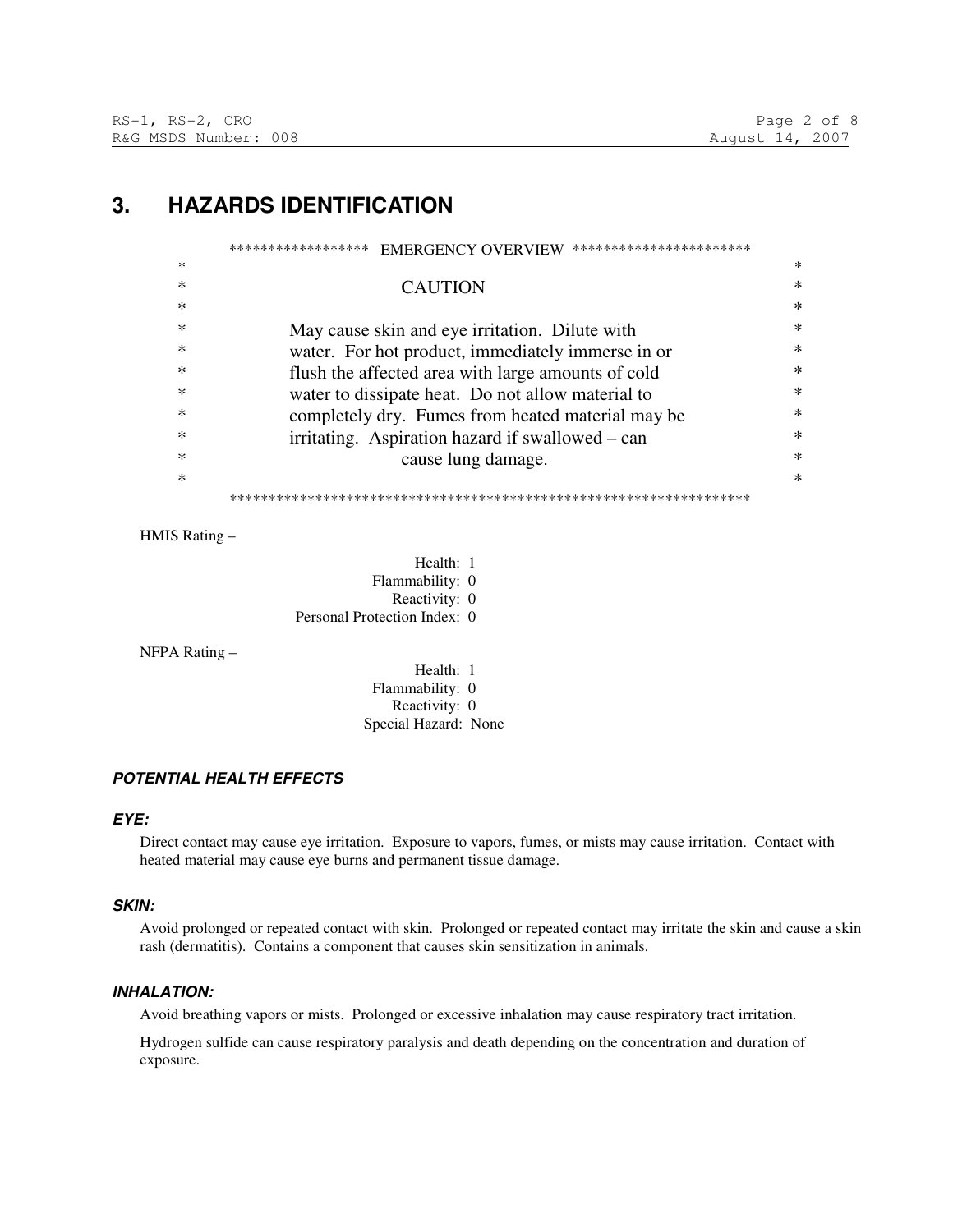## **3. HAZARDS IDENTIFICATION**

|        | ******************<br>***********************<br><b>EMERGENCY OVERVIEW</b> |        |
|--------|----------------------------------------------------------------------------|--------|
| *      |                                                                            | $\ast$ |
| ∗      | <b>CAUTION</b>                                                             | ∗      |
| *      |                                                                            | $\ast$ |
| *      | May cause skin and eye irritation. Dilute with                             | $\ast$ |
| $\ast$ | water. For hot product, immediately immerse in or                          | $\ast$ |
| *      | flush the affected area with large amounts of cold                         | $\ast$ |
| *      | water to dissipate heat. Do not allow material to                          | $\ast$ |
| $\ast$ | completely dry. Fumes from heated material may be                          | $\ast$ |
| *      | irritating. Aspiration hazard if swallowed – can                           | $\ast$ |
| *      | cause lung damage.                                                         | $\ast$ |
| *      |                                                                            | $\ast$ |
|        |                                                                            |        |

HMIS Rating –

Health: 1 Flammability: 0 Reactivity: 0 Personal Protection Index: 0

NFPA Rating –

Health: 1 Flammability: 0 Reactivity: 0 Special Hazard: None

## **POTENTIAL HEALTH EFFECTS**

### **EYE:**

Direct contact may cause eye irritation. Exposure to vapors, fumes, or mists may cause irritation. Contact with heated material may cause eye burns and permanent tissue damage.

### **SKIN:**

Avoid prolonged or repeated contact with skin. Prolonged or repeated contact may irritate the skin and cause a skin rash (dermatitis). Contains a component that causes skin sensitization in animals.

## **INHALATION:**

Avoid breathing vapors or mists. Prolonged or excessive inhalation may cause respiratory tract irritation.

Hydrogen sulfide can cause respiratory paralysis and death depending on the concentration and duration of exposure.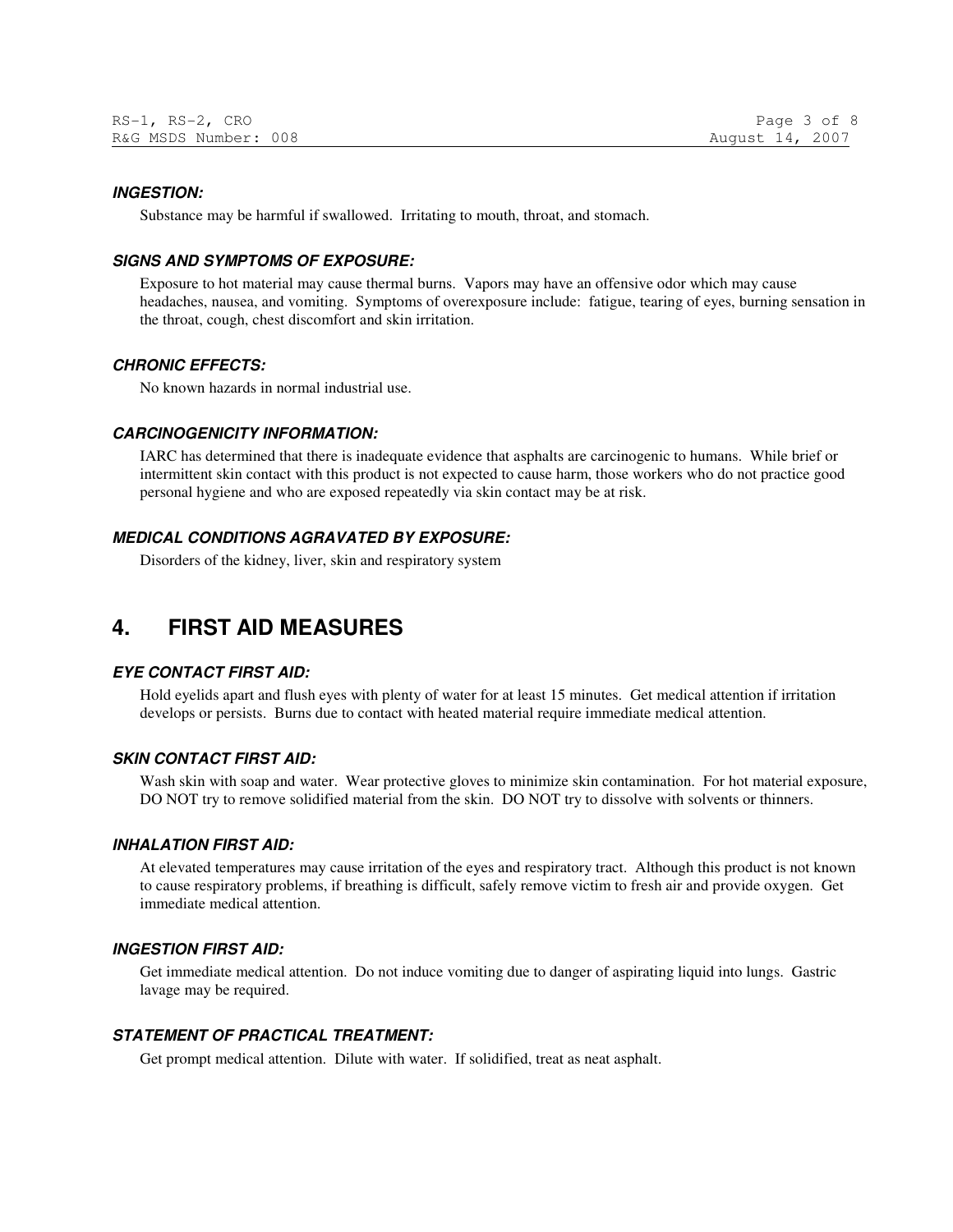#### **INGESTION:**

Substance may be harmful if swallowed. Irritating to mouth, throat, and stomach.

### **SIGNS AND SYMPTOMS OF EXPOSURE:**

Exposure to hot material may cause thermal burns. Vapors may have an offensive odor which may cause headaches, nausea, and vomiting. Symptoms of overexposure include: fatigue, tearing of eyes, burning sensation in the throat, cough, chest discomfort and skin irritation.

#### **CHRONIC EFFECTS:**

No known hazards in normal industrial use.

#### **CARCINOGENICITY INFORMATION:**

IARC has determined that there is inadequate evidence that asphalts are carcinogenic to humans. While brief or intermittent skin contact with this product is not expected to cause harm, those workers who do not practice good personal hygiene and who are exposed repeatedly via skin contact may be at risk.

#### **MEDICAL CONDITIONS AGRAVATED BY EXPOSURE:**

Disorders of the kidney, liver, skin and respiratory system

## **4. FIRST AID MEASURES**

## **EYE CONTACT FIRST AID:**

Hold eyelids apart and flush eyes with plenty of water for at least 15 minutes. Get medical attention if irritation develops or persists. Burns due to contact with heated material require immediate medical attention.

#### **SKIN CONTACT FIRST AID:**

Wash skin with soap and water. Wear protective gloves to minimize skin contamination. For hot material exposure, DO NOT try to remove solidified material from the skin. DO NOT try to dissolve with solvents or thinners.

#### **INHALATION FIRST AID:**

At elevated temperatures may cause irritation of the eyes and respiratory tract. Although this product is not known to cause respiratory problems, if breathing is difficult, safely remove victim to fresh air and provide oxygen. Get immediate medical attention.

#### **INGESTION FIRST AID:**

Get immediate medical attention. Do not induce vomiting due to danger of aspirating liquid into lungs. Gastric lavage may be required.

## **STATEMENT OF PRACTICAL TREATMENT:**

Get prompt medical attention. Dilute with water. If solidified, treat as neat asphalt.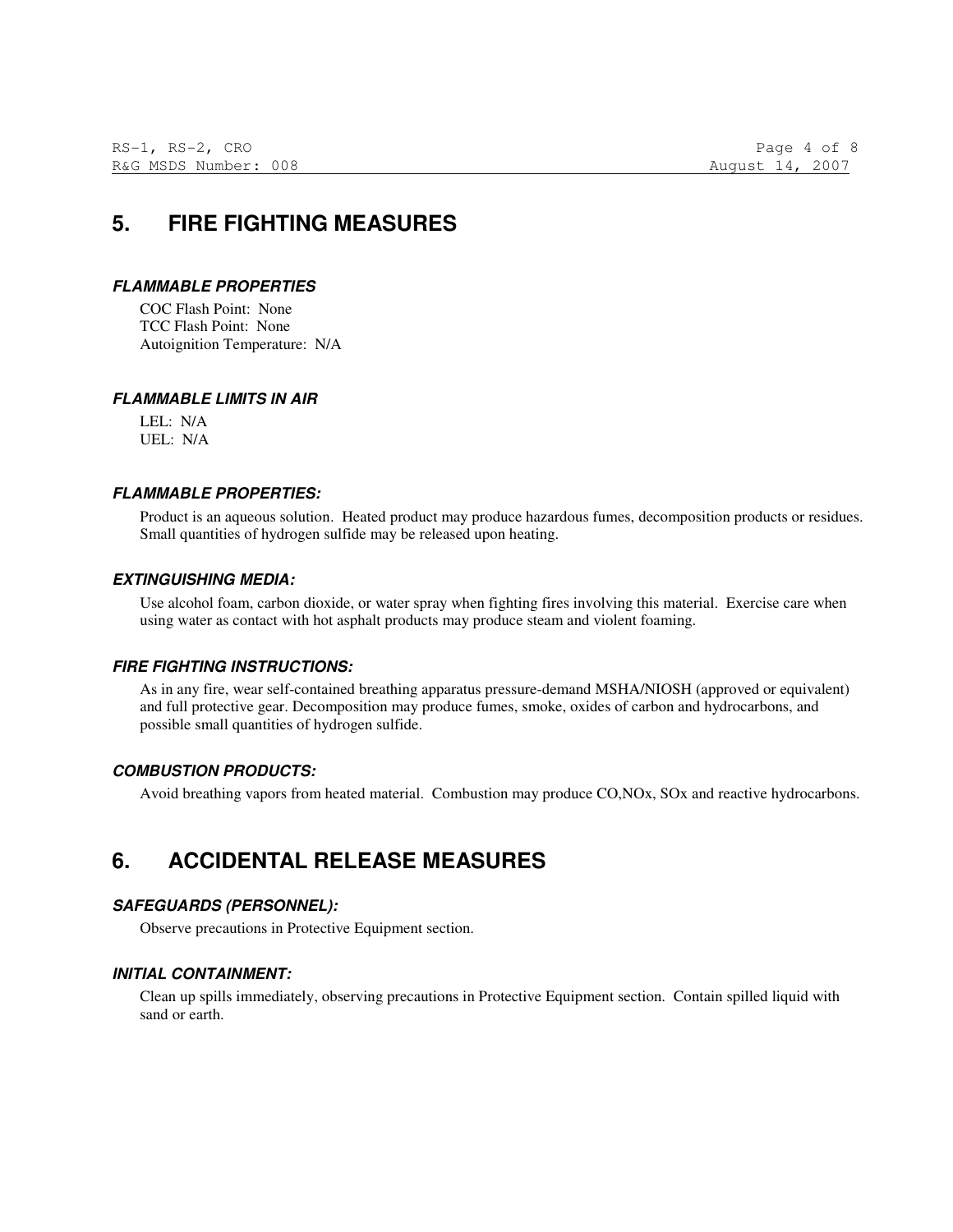## **5. FIRE FIGHTING MEASURES**

## **FLAMMABLE PROPERTIES**

COC Flash Point: None TCC Flash Point: None Autoignition Temperature: N/A

## **FLAMMABLE LIMITS IN AIR**

LEL: N/A UEL: N/A

## **FLAMMABLE PROPERTIES:**

Product is an aqueous solution. Heated product may produce hazardous fumes, decomposition products or residues. Small quantities of hydrogen sulfide may be released upon heating.

### **EXTINGUISHING MEDIA:**

Use alcohol foam, carbon dioxide, or water spray when fighting fires involving this material. Exercise care when using water as contact with hot asphalt products may produce steam and violent foaming.

### **FIRE FIGHTING INSTRUCTIONS:**

As in any fire, wear self-contained breathing apparatus pressure-demand MSHA/NIOSH (approved or equivalent) and full protective gear. Decomposition may produce fumes, smoke, oxides of carbon and hydrocarbons, and possible small quantities of hydrogen sulfide.

### **COMBUSTION PRODUCTS:**

Avoid breathing vapors from heated material. Combustion may produce CO,NOx, SOx and reactive hydrocarbons.

## **6. ACCIDENTAL RELEASE MEASURES**

## **SAFEGUARDS (PERSONNEL):**

Observe precautions in Protective Equipment section.

### **INITIAL CONTAINMENT:**

Clean up spills immediately, observing precautions in Protective Equipment section. Contain spilled liquid with sand or earth.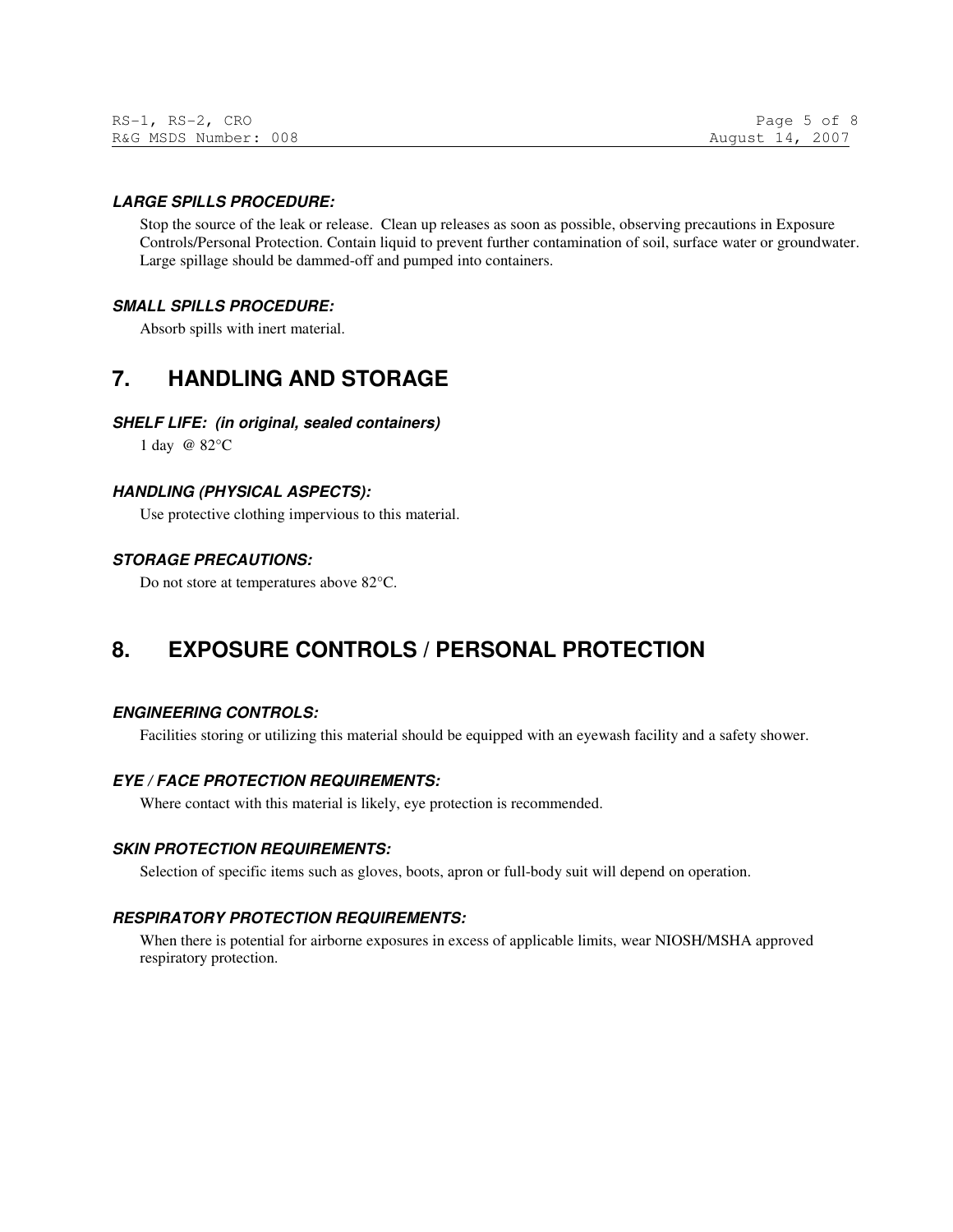#### **LARGE SPILLS PROCEDURE:**

Stop the source of the leak or release. Clean up releases as soon as possible, observing precautions in Exposure Controls/Personal Protection. Contain liquid to prevent further contamination of soil, surface water or groundwater. Large spillage should be dammed-off and pumped into containers.

#### **SMALL SPILLS PROCEDURE:**

Absorb spills with inert material.

## **7. HANDLING AND STORAGE**

#### **SHELF LIFE: (in original, sealed containers)**

1 day @ 82°C

#### **HANDLING (PHYSICAL ASPECTS):**

Use protective clothing impervious to this material.

#### **STORAGE PRECAUTIONS:**

Do not store at temperatures above 82°C.

## **8. EXPOSURE CONTROLS / PERSONAL PROTECTION**

### **ENGINEERING CONTROLS:**

Facilities storing or utilizing this material should be equipped with an eyewash facility and a safety shower.

### **EYE / FACE PROTECTION REQUIREMENTS:**

Where contact with this material is likely, eye protection is recommended.

#### **SKIN PROTECTION REQUIREMENTS:**

Selection of specific items such as gloves, boots, apron or full-body suit will depend on operation.

### **RESPIRATORY PROTECTION REQUIREMENTS:**

When there is potential for airborne exposures in excess of applicable limits, wear NIOSH/MSHA approved respiratory protection.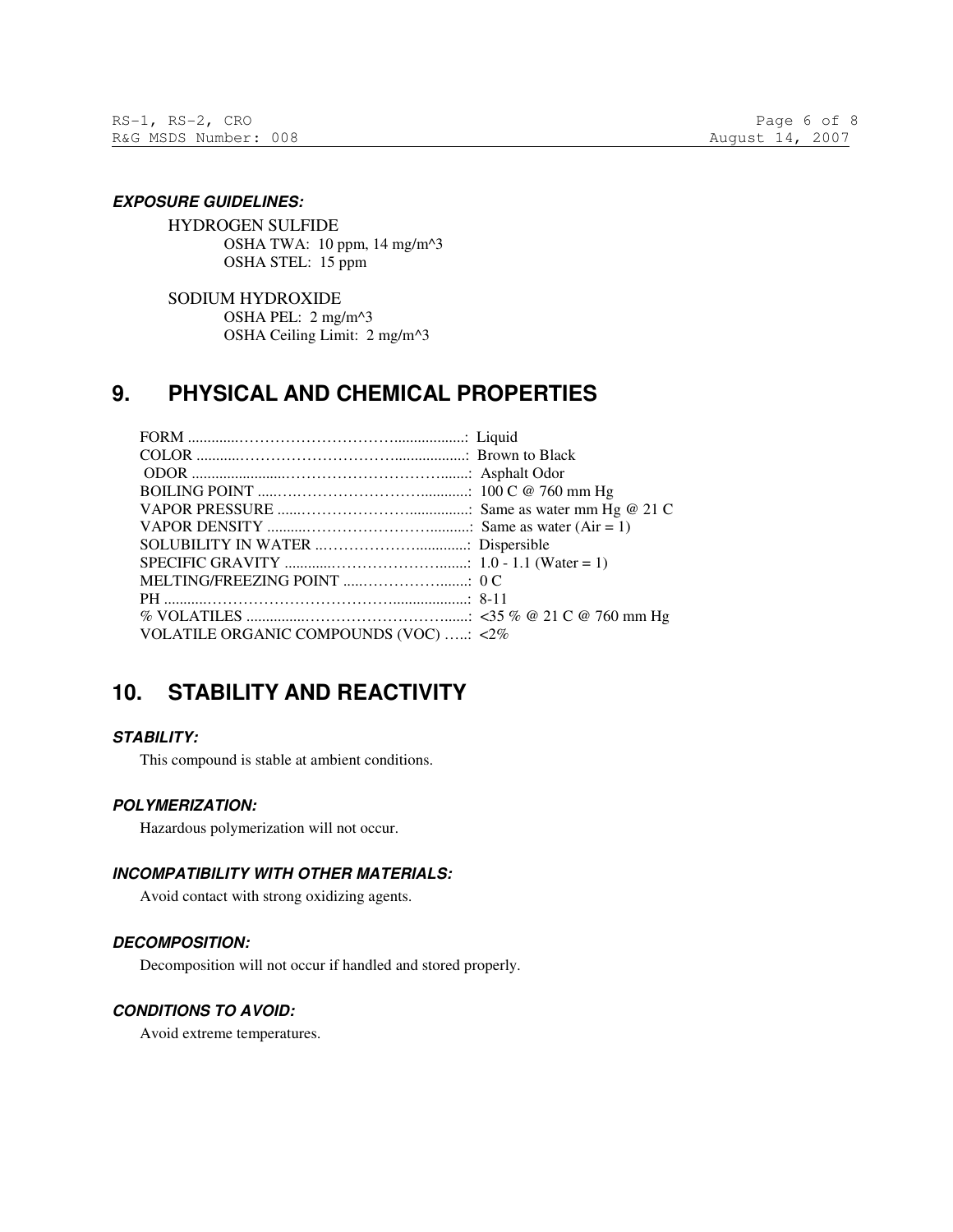#### **EXPOSURE GUIDELINES:**

HYDROGEN SULFIDE OSHA TWA: 10 ppm, 14 mg/m^3 OSHA STEL: 15 ppm

SODIUM HYDROXIDE OSHA PEL: 2 mg/m^3 OSHA Ceiling Limit: 2 mg/m^3

## **9. PHYSICAL AND CHEMICAL PROPERTIES**

| VOLATILE ORGANIC COMPOUNDS (VOC) : <2% |  |
|----------------------------------------|--|

## **10. STABILITY AND REACTIVITY**

## **STABILITY:**

This compound is stable at ambient conditions.

### **POLYMERIZATION:**

Hazardous polymerization will not occur.

## **INCOMPATIBILITY WITH OTHER MATERIALS:**

Avoid contact with strong oxidizing agents.

### **DECOMPOSITION:**

Decomposition will not occur if handled and stored properly.

## **CONDITIONS TO AVOID:**

Avoid extreme temperatures.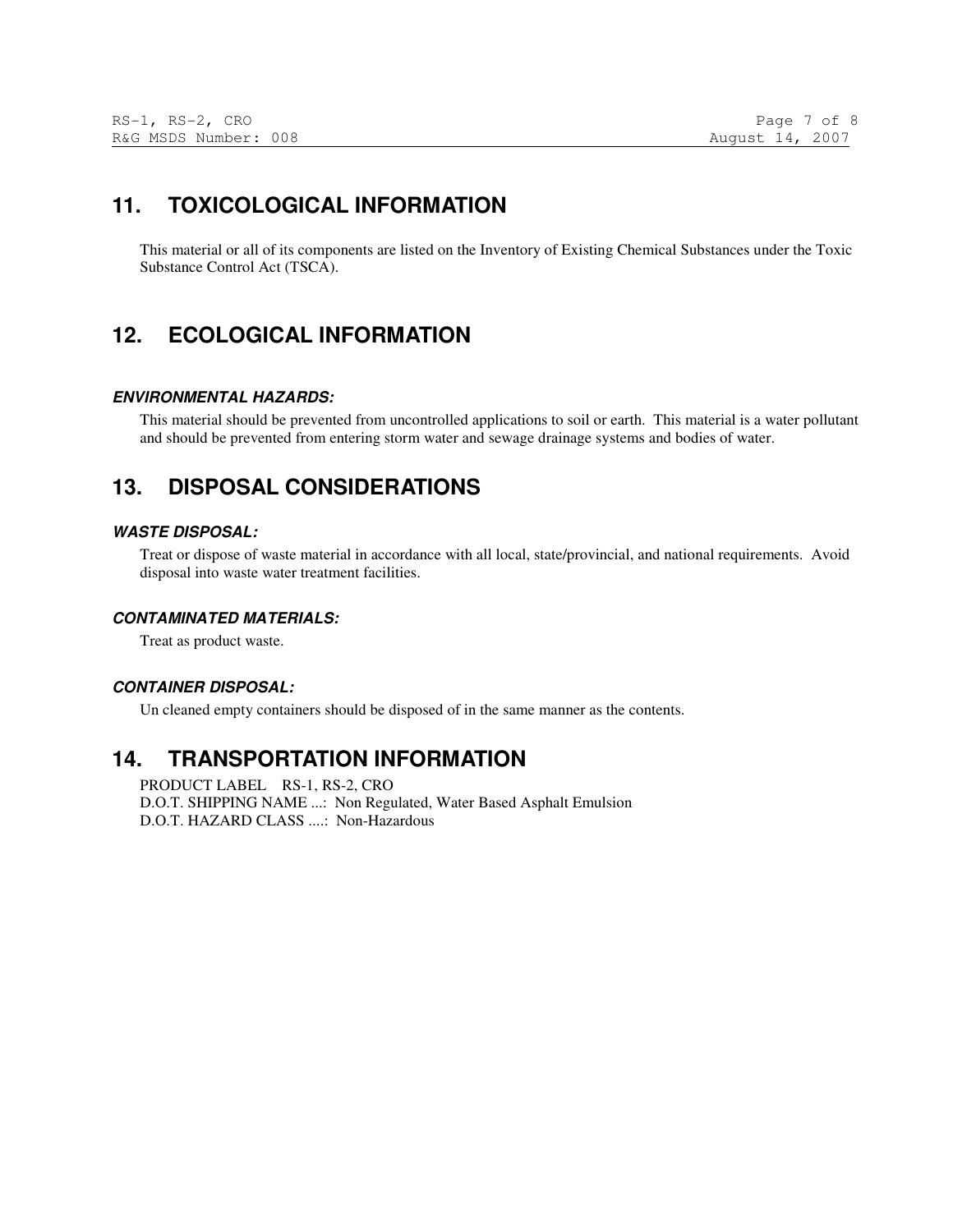## **11. TOXICOLOGICAL INFORMATION**

This material or all of its components are listed on the Inventory of Existing Chemical Substances under the Toxic Substance Control Act (TSCA).

## **12. ECOLOGICAL INFORMATION**

### **ENVIRONMENTAL HAZARDS:**

This material should be prevented from uncontrolled applications to soil or earth. This material is a water pollutant and should be prevented from entering storm water and sewage drainage systems and bodies of water.

## **13. DISPOSAL CONSIDERATIONS**

### **WASTE DISPOSAL:**

Treat or dispose of waste material in accordance with all local, state/provincial, and national requirements. Avoid disposal into waste water treatment facilities.

#### **CONTAMINATED MATERIALS:**

Treat as product waste.

#### **CONTAINER DISPOSAL:**

Un cleaned empty containers should be disposed of in the same manner as the contents.

## **14. TRANSPORTATION INFORMATION**

PRODUCT LABEL RS-1, RS-2, CRO D.O.T. SHIPPING NAME ...: Non Regulated, Water Based Asphalt Emulsion D.O.T. HAZARD CLASS ....: Non-Hazardous